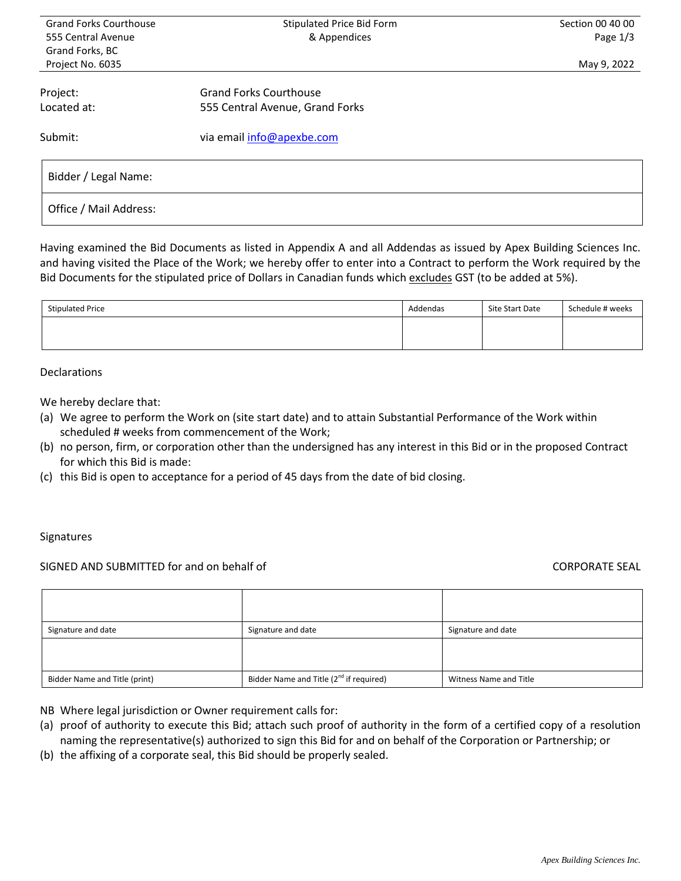| <b>Grand Forks Courthouse</b>      | Stipulated Price Bid Form       | Section 00 40 00 |  |  |  |  |
|------------------------------------|---------------------------------|------------------|--|--|--|--|
| & Appendices<br>555 Central Avenue |                                 | Page 1/3         |  |  |  |  |
| Grand Forks, BC                    |                                 |                  |  |  |  |  |
| Project No. 6035                   |                                 | May 9, 2022      |  |  |  |  |
| Project:                           | <b>Grand Forks Courthouse</b>   |                  |  |  |  |  |
| Located at:                        | 555 Central Avenue, Grand Forks |                  |  |  |  |  |
| Submit:                            | via email info@apexbe.com       |                  |  |  |  |  |
| Bidder / Legal Name:               |                                 |                  |  |  |  |  |
| Office / Mail Address:             |                                 |                  |  |  |  |  |

Having examined the Bid Documents as listed in Appendix A and all Addendas as issued by Apex Building Sciences Inc. and having visited the Place of the Work; we hereby offer to enter into a Contract to perform the Work required by the Bid Documents for the stipulated price of Dollars in Canadian funds which excludes GST (to be added at 5%).

| <b>Stipulated Price</b> | Addendas | Site Start Date | Schedule # weeks |
|-------------------------|----------|-----------------|------------------|
|                         |          |                 |                  |
|                         |          |                 |                  |

# Declarations

We hereby declare that:

- (a) We agree to perform the Work on (site start date) and to attain Substantial Performance of the Work within scheduled # weeks from commencement of the Work;
- (b) no person, firm, or corporation other than the undersigned has any interest in this Bid or in the proposed Contract for which this Bid is made:
- (c) this Bid is open to acceptance for a period of 45 days from the date of bid closing.

#### Signatures

# SIGNED AND SUBMITTED for and on behalf of CORPORATE SEAL

| Signature and date            | Signature and date                                  | Signature and date     |
|-------------------------------|-----------------------------------------------------|------------------------|
|                               |                                                     |                        |
|                               |                                                     |                        |
| Bidder Name and Title (print) | Bidder Name and Title (2 <sup>nd</sup> if required) | Witness Name and Title |

- NB Where legal jurisdiction or Owner requirement calls for:
- (a) proof of authority to execute this Bid; attach such proof of authority in the form of a certified copy of a resolution naming the representative(s) authorized to sign this Bid for and on behalf of the Corporation or Partnership; or
- (b) the affixing of a corporate seal, this Bid should be properly sealed.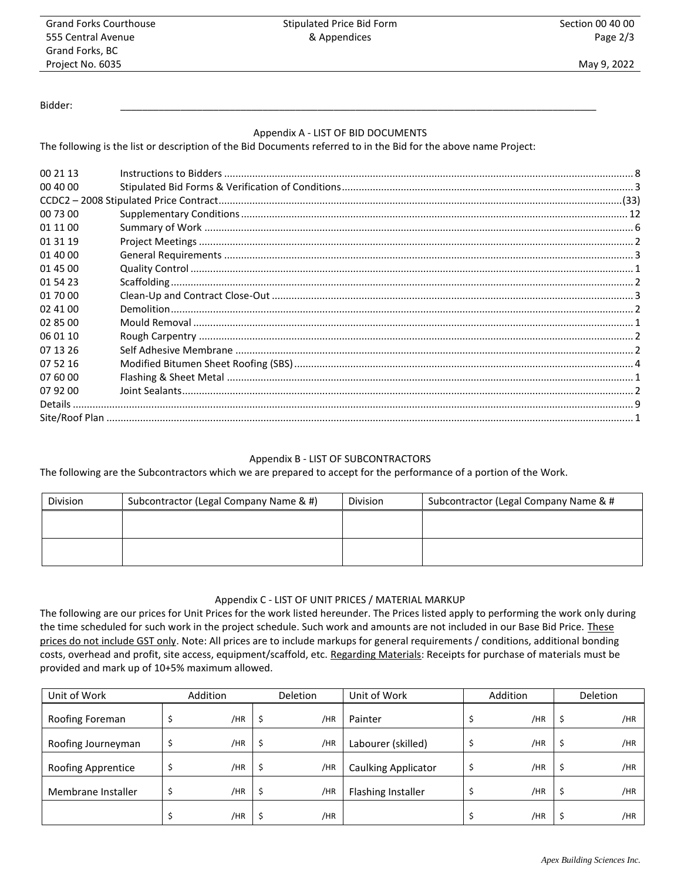Stipulated Price Bid Form & Appendices

Bidder: \_\_\_\_\_\_\_\_\_\_\_\_\_\_\_\_\_\_\_\_\_\_\_\_\_\_\_\_\_\_\_\_\_\_\_\_\_\_\_\_\_\_\_\_\_\_\_\_\_\_\_\_\_\_\_\_\_\_\_\_\_\_\_\_\_\_\_\_\_\_\_\_\_\_\_\_\_\_\_\_\_\_\_\_\_\_\_

# Appendix A - LIST OF BID DOCUMENTS

The following is the list or description of the Bid Documents referred to in the Bid for the above name Project:

| 00 21 13 |                                                                                                                                                                                                                                      |  |
|----------|--------------------------------------------------------------------------------------------------------------------------------------------------------------------------------------------------------------------------------------|--|
| 00 40 00 |                                                                                                                                                                                                                                      |  |
|          |                                                                                                                                                                                                                                      |  |
|          |                                                                                                                                                                                                                                      |  |
| 01 11 00 |                                                                                                                                                                                                                                      |  |
| 01 31 19 |                                                                                                                                                                                                                                      |  |
| 01 40 00 |                                                                                                                                                                                                                                      |  |
| 01 45 00 |                                                                                                                                                                                                                                      |  |
| 01 54 23 | 2 يست المساحة العلمية المستوى المستخدمات المستخدمات المستخدمات المستخدمات المستخدمات المستخدمات المستخدمات الم<br>2 يستخدم المستخدمات المستخدمات المستخدمات المستخدمات المستخدمات المستخدمات المستخدمات المستخدمات المستخدمات ال<br> |  |
| 01 70 00 |                                                                                                                                                                                                                                      |  |
| 02 41 00 |                                                                                                                                                                                                                                      |  |
| 02 85 00 |                                                                                                                                                                                                                                      |  |
| 06 01 10 |                                                                                                                                                                                                                                      |  |
| 07 13 26 |                                                                                                                                                                                                                                      |  |
| 07 52 16 |                                                                                                                                                                                                                                      |  |
| 07 60 00 |                                                                                                                                                                                                                                      |  |
| 07 92 00 |                                                                                                                                                                                                                                      |  |
|          |                                                                                                                                                                                                                                      |  |
|          |                                                                                                                                                                                                                                      |  |

# Appendix B - LIST OF SUBCONTRACTORS

The following are the Subcontractors which we are prepared to accept for the performance of a portion of the Work.

| Division | Subcontractor (Legal Company Name & #) | <b>Division</b> | Subcontractor (Legal Company Name & # |  |  |  |  |
|----------|----------------------------------------|-----------------|---------------------------------------|--|--|--|--|
|          |                                        |                 |                                       |  |  |  |  |
|          |                                        |                 |                                       |  |  |  |  |
|          |                                        |                 |                                       |  |  |  |  |
|          |                                        |                 |                                       |  |  |  |  |

# Appendix C - LIST OF UNIT PRICES / MATERIAL MARKUP

The following are our prices for Unit Prices for the work listed hereunder. The Prices listed apply to performing the work only during the time scheduled for such work in the project schedule. Such work and amounts are not included in our Base Bid Price. These prices do not include GST only. Note: All prices are to include markups for general requirements / conditions, additional bonding costs, overhead and profit, site access, equipment/scaffold, etc. Regarding Materials: Receipts for purchase of materials must be provided and mark up of 10+5% maximum allowed.

| Unit of Work       | <b>Addition</b> | <b>Deletion</b> | Unit of Work               | Addition | <b>Deletion</b> |
|--------------------|-----------------|-----------------|----------------------------|----------|-----------------|
| Roofing Foreman    | /HR             | \$<br>/HR       | Painter                    | /HR      | /HR             |
| Roofing Journeyman | /HR             | \$<br>/HR       | Labourer (skilled)         | /HR      | /HR             |
| Roofing Apprentice | /HR             | \$<br>/HR       | <b>Caulking Applicator</b> | /HR      | /HR             |
| Membrane Installer | /HR             | \$<br>/HR       | <b>Flashing Installer</b>  | /HR      | /HR             |
|                    | /HR             | /HR             |                            | /HR      | /HR             |